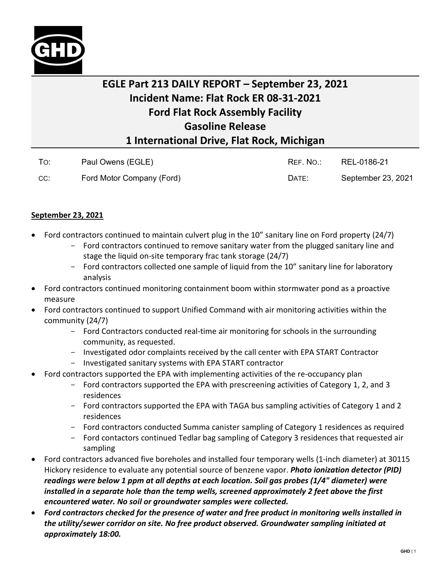

## **EGLE Part 213 DAILY REPORT – September 23, 2021 Incident Name: Flat Rock ER 08-31-2021 Ford Flat Rock Assembly Facility Gasoline Release 1 International Drive, Flat Rock, Michigan**

|     | Paul Owens (EGLE)         | RFF. NO.: | REL-0186-21        |
|-----|---------------------------|-----------|--------------------|
| CC: | Ford Motor Company (Ford) | DATE:     | September 23, 2021 |

## **September 23, 2021**

- Ford contractors continued to maintain culvert plug in the 10" sanitary line on Ford property (24/7)
	- Ford contractors continued to remove sanitary water from the plugged sanitary line and stage the liquid on-site temporary frac tank storage (24/7)
	- Ford contractors collected one sample of liquid from the 10" sanitary line for laboratory analysis
- Ford contractors continued monitoring containment boom within stormwater pond as a proactive measure
- Ford contractors continued to support Unified Command with air monitoring activities within the community (24/7)
	- Ford Contractors conducted real-time air monitoring for schools in the surrounding community, as requested.
	- Investigated odor complaints received by the call center with EPA START Contractor
	- Investigated sanitary systems with EPA START contractor
- Ford contractors supported the EPA with implementing activities of the re-occupancy plan
	- Ford contractors supported the EPA with prescreening activities of Category 1, 2, and 3 residences
	- Ford contractors supported the EPA with TAGA bus sampling activities of Category 1 and 2 residences
	- Ford contractors conducted Summa canister sampling of Category 1 residences as required
	- Ford contactors continued Tedlar bag sampling of Category 3 residences that requested air sampling
- Ford contractors advanced five boreholes and installed four temporary wells (1-inch diameter) at 30115 Hickory residence to evaluate any potential source of benzene vapor. *Photo ionization detector (PID) readings were below 1 ppm at all depths at each location. Soil gas probes (1/4" diameter) were installed in a separate hole than the temp wells, screened approximately 2 feet above the first encountered water. No soil or groundwater samples were collected.*
- *Ford contractors checked for the presence of water and free product in monitoring wells installed in the utility/sewer corridor on site. No free product observed. Groundwater sampling initiated at approximately 18:00.*